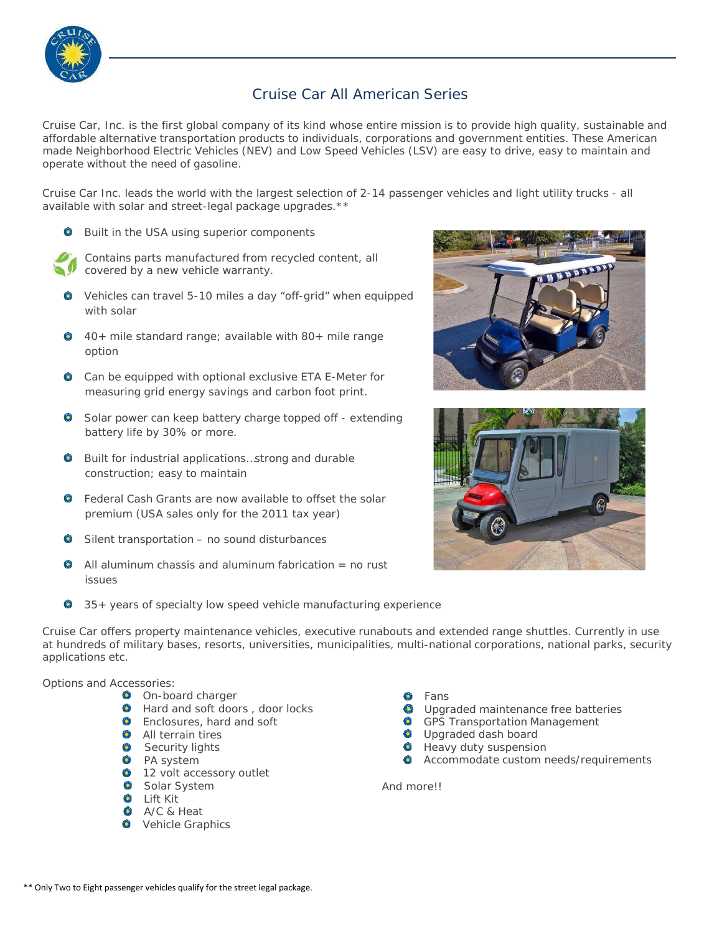

## Cruise Car All American Series

Cruise Car, Inc. is the first global company of its kind whose entire mission is to provide high quality, sustainable and affordable alternative transportation products to individuals, corporations and government entities. These American made Neighborhood Electric Vehicles (NEV) and Low Speed Vehicles (LSV) are easy to drive, easy to maintain and operate without the need of gasoline.

Cruise Car Inc. leads the world with the largest selection of 2-14 passenger vehicles and light utility trucks - all available with solar and street-legal package upgrades.\*\*

**Built in the USA using superior components** 



Contains parts manufactured from recycled content, all covered by a new vehicle warranty.

- Vehicles can travel 5-10 miles a day "off-grid" when equipped with solar
- 40+ mile standard range; available with 80+ mile range option
- Can be equipped with optional exclusive ETA E-Meter for measuring grid energy savings and carbon foot print.
- **Solar power can keep battery charge topped off extending** battery life by 30% or more.
- **C** Built for industrial applications...strong and durable construction; easy to maintain
- **C** Federal Cash Grants are now available to offset the solar premium (USA sales only for the 2011 tax year)
- Silent transportation no sound disturbances
- $\bullet$  All aluminum chassis and aluminum fabrication = no rust issues
- 35+ years of specialty low speed vehicle manufacturing experience





Cruise Car offers property maintenance vehicles, executive runabouts and extended range shuttles. Currently in use at hundreds of military bases, resorts, universities, municipalities, multi-national corporations, national parks, security applications etc.

## Options and Accessories:

- **O** On-board charger
- **C** Hard and soft doors, door locks
- **C** Enclosures, hard and soft
- **All terrain tires**
- Security lights
- PA system
- **12 volt accessory outlet**
- Solar System
- **O** Lift Kit
- A/C & Heat
- **O** Vehicle Graphics
- $\bullet$ Fans
- Upgraded maintenance free batteries
- **GPS Transportation Management**
- **O** Upgraded dash board
- **O** Heavy duty suspension
- **C** Accommodate custom needs/requirements

And more!!